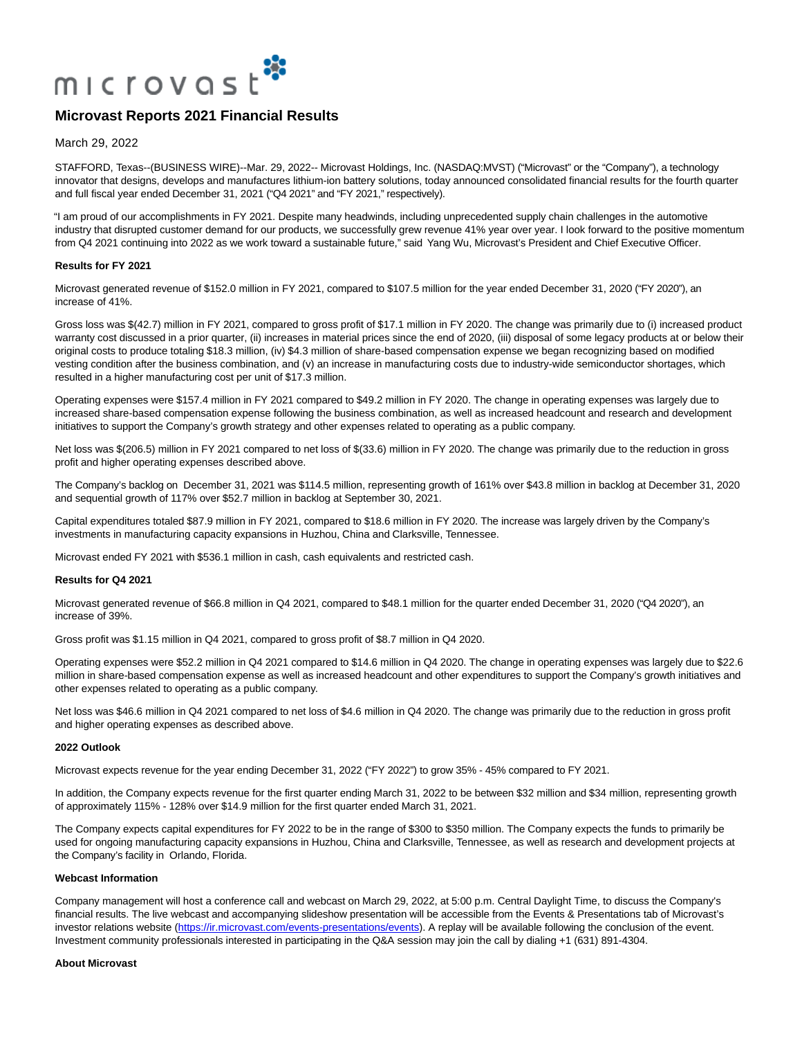

March 29, 2022

STAFFORD, Texas--(BUSINESS WIRE)--Mar. 29, 2022-- Microvast Holdings, Inc. (NASDAQ:MVST) ("Microvast" or the "Company"), a technology innovator that designs, develops and manufactures lithium-ion battery solutions, today announced consolidated financial results for the fourth quarter and full fiscal year ended December 31, 2021 ("Q4 2021" and "FY 2021," respectively).

"I am proud of our accomplishments in FY 2021. Despite many headwinds, including unprecedented supply chain challenges in the automotive industry that disrupted customer demand for our products, we successfully grew revenue 41% year over year. I look forward to the positive momentum from Q4 2021 continuing into 2022 as we work toward a sustainable future," said Yang Wu, Microvast's President and Chief Executive Officer.

#### **Results for FY 2021**

Microvast generated revenue of \$152.0 million in FY 2021, compared to \$107.5 million for the year ended December 31, 2020 ("FY 2020"), an increase of 41%.

Gross loss was \$(42.7) million in FY 2021, compared to gross profit of \$17.1 million in FY 2020. The change was primarily due to (i) increased product warranty cost discussed in a prior quarter, (ii) increases in material prices since the end of 2020, (iii) disposal of some legacy products at or below their original costs to produce totaling \$18.3 million, (iv) \$4.3 million of share-based compensation expense we began recognizing based on modified vesting condition after the business combination, and (v) an increase in manufacturing costs due to industry-wide semiconductor shortages, which resulted in a higher manufacturing cost per unit of \$17.3 million.

Operating expenses were \$157.4 million in FY 2021 compared to \$49.2 million in FY 2020. The change in operating expenses was largely due to increased share-based compensation expense following the business combination, as well as increased headcount and research and development initiatives to support the Company's growth strategy and other expenses related to operating as a public company.

Net loss was \$(206.5) million in FY 2021 compared to net loss of \$(33.6) million in FY 2020. The change was primarily due to the reduction in gross profit and higher operating expenses described above.

The Company's backlog on December 31, 2021 was \$114.5 million, representing growth of 161% over \$43.8 million in backlog at December 31, 2020 and sequential growth of 117% over \$52.7 million in backlog at September 30, 2021.

Capital expenditures totaled \$87.9 million in FY 2021, compared to \$18.6 million in FY 2020. The increase was largely driven by the Company's investments in manufacturing capacity expansions in Huzhou, China and Clarksville, Tennessee.

Microvast ended FY 2021 with \$536.1 million in cash, cash equivalents and restricted cash.

#### **Results for Q4 2021**

Microvast generated revenue of \$66.8 million in Q4 2021, compared to \$48.1 million for the quarter ended December 31, 2020 ("Q4 2020"), an increase of 39%.

Gross profit was \$1.15 million in Q4 2021, compared to gross profit of \$8.7 million in Q4 2020.

Operating expenses were \$52.2 million in Q4 2021 compared to \$14.6 million in Q4 2020. The change in operating expenses was largely due to \$22.6 million in share-based compensation expense as well as increased headcount and other expenditures to support the Company's growth initiatives and other expenses related to operating as a public company.

Net loss was \$46.6 million in Q4 2021 compared to net loss of \$4.6 million in Q4 2020. The change was primarily due to the reduction in gross profit and higher operating expenses as described above.

## **2022 Outlook**

Microvast expects revenue for the year ending December 31, 2022 ("FY 2022") to grow 35% - 45% compared to FY 2021.

In addition, the Company expects revenue for the first quarter ending March 31, 2022 to be between \$32 million and \$34 million, representing growth of approximately 115% - 128% over \$14.9 million for the first quarter ended March 31, 2021.

The Company expects capital expenditures for FY 2022 to be in the range of \$300 to \$350 million. The Company expects the funds to primarily be used for ongoing manufacturing capacity expansions in Huzhou, China and Clarksville, Tennessee, as well as research and development projects at the Company's facility in Orlando, Florida.

#### **Webcast Information**

Company management will host a conference call and webcast on March 29, 2022, at 5:00 p.m. Central Daylight Time, to discuss the Company's financial results. The live webcast and accompanying slideshow presentation will be accessible from the Events & Presentations tab of Microvast's investor relations website [\(https://ir.microvast.com/events-presentations/events\).](https://cts.businesswire.com/ct/CT?id=smartlink&url=https%3A%2F%2Fir.microvast.com%2Fevents-presentations%2Fevents&esheet=52628410&newsitemid=20220329005846&lan=en-US&anchor=https%3A%2F%2Fir.microvast.com%2Fevents-presentations%2Fevents&index=1&md5=8be1159d340eabe15220f7681e0bad40) A replay will be available following the conclusion of the event. Investment community professionals interested in participating in the Q&A session may join the call by dialing +1 (631) 891-4304.

#### **About Microvast**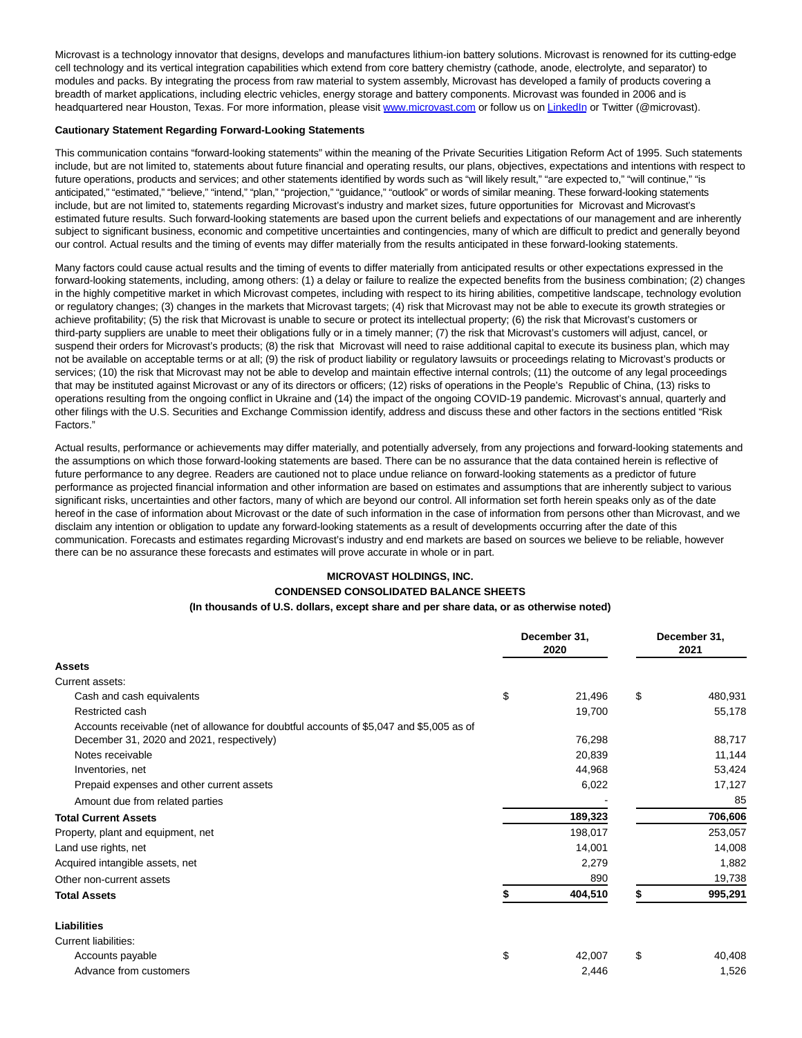Microvast is a technology innovator that designs, develops and manufactures lithium-ion battery solutions. Microvast is renowned for its cutting-edge cell technology and its vertical integration capabilities which extend from core battery chemistry (cathode, anode, electrolyte, and separator) to modules and packs. By integrating the process from raw material to system assembly, Microvast has developed a family of products covering a breadth of market applications, including electric vehicles, energy storage and battery components. Microvast was founded in 2006 and is headquartered near Houston, Texas. For more information, please visit [www.microvast.com o](https://cts.businesswire.com/ct/CT?id=smartlink&url=http%3A%2F%2Fwww.microvast.com&esheet=52628410&newsitemid=20220329005846&lan=en-US&anchor=www.microvast.com&index=2&md5=68aa2076b7643efd5b054326d6225709)r follow us o[n LinkedIn o](https://cts.businesswire.com/ct/CT?id=smartlink&url=https%3A%2F%2Fwww.linkedin.com%2Fcompany%2Fmicrovast-inc-%2F&esheet=52628410&newsitemid=20220329005846&lan=en-US&anchor=LinkedIn&index=3&md5=ea8c5c582893e29f887f8cbd199f77ba)r Twitter (@microvast).

#### **Cautionary Statement Regarding Forward-Looking Statements**

This communication contains "forward-looking statements" within the meaning of the Private Securities Litigation Reform Act of 1995. Such statements include, but are not limited to, statements about future financial and operating results, our plans, objectives, expectations and intentions with respect to future operations, products and services; and other statements identified by words such as "will likely result," "are expected to," "will continue," "is anticipated," "estimated," "believe," "intend," "plan," "projection," "guidance," "outlook" or words of similar meaning. These forward-looking statements include, but are not limited to, statements regarding Microvast's industry and market sizes, future opportunities for Microvast and Microvast's estimated future results. Such forward-looking statements are based upon the current beliefs and expectations of our management and are inherently subject to significant business, economic and competitive uncertainties and contingencies, many of which are difficult to predict and generally beyond our control. Actual results and the timing of events may differ materially from the results anticipated in these forward-looking statements.

Many factors could cause actual results and the timing of events to differ materially from anticipated results or other expectations expressed in the forward-looking statements, including, among others: (1) a delay or failure to realize the expected benefits from the business combination; (2) changes in the highly competitive market in which Microvast competes, including with respect to its hiring abilities, competitive landscape, technology evolution or regulatory changes; (3) changes in the markets that Microvast targets; (4) risk that Microvast may not be able to execute its growth strategies or achieve profitability; (5) the risk that Microvast is unable to secure or protect its intellectual property; (6) the risk that Microvast's customers or third-party suppliers are unable to meet their obligations fully or in a timely manner; (7) the risk that Microvast's customers will adjust, cancel, or suspend their orders for Microvast's products; (8) the risk that Microvast will need to raise additional capital to execute its business plan, which may not be available on acceptable terms or at all; (9) the risk of product liability or regulatory lawsuits or proceedings relating to Microvast's products or services; (10) the risk that Microvast may not be able to develop and maintain effective internal controls; (11) the outcome of any legal proceedings that may be instituted against Microvast or any of its directors or officers; (12) risks of operations in the People's Republic of China, (13) risks to operations resulting from the ongoing conflict in Ukraine and (14) the impact of the ongoing COVID-19 pandemic. Microvast's annual, quarterly and other filings with the U.S. Securities and Exchange Commission identify, address and discuss these and other factors in the sections entitled "Risk Factors."

Actual results, performance or achievements may differ materially, and potentially adversely, from any projections and forward-looking statements and the assumptions on which those forward-looking statements are based. There can be no assurance that the data contained herein is reflective of future performance to any degree. Readers are cautioned not to place undue reliance on forward-looking statements as a predictor of future performance as projected financial information and other information are based on estimates and assumptions that are inherently subject to various significant risks, uncertainties and other factors, many of which are beyond our control. All information set forth herein speaks only as of the date hereof in the case of information about Microvast or the date of such information in the case of information from persons other than Microvast, and we disclaim any intention or obligation to update any forward-looking statements as a result of developments occurring after the date of this communication. Forecasts and estimates regarding Microvast's industry and end markets are based on sources we believe to be reliable, however there can be no assurance these forecasts and estimates will prove accurate in whole or in part.

## **MICROVAST HOLDINGS, INC.**

## **CONDENSED CONSOLIDATED BALANCE SHEETS**

## **(In thousands of U.S. dollars, except share and per share data, or as otherwise noted)**

| December 31,<br>2020                                                                     |    | December 31,<br>2021 |    |         |
|------------------------------------------------------------------------------------------|----|----------------------|----|---------|
| <b>Assets</b>                                                                            |    |                      |    |         |
| Current assets:                                                                          |    |                      |    |         |
| Cash and cash equivalents                                                                | \$ | 21,496               | \$ | 480,931 |
| Restricted cash                                                                          |    | 19,700               |    | 55,178  |
| Accounts receivable (net of allowance for doubtful accounts of \$5,047 and \$5,005 as of |    |                      |    |         |
| December 31, 2020 and 2021, respectively)                                                |    | 76,298               |    | 88,717  |
| Notes receivable                                                                         |    | 20,839               |    | 11,144  |
| Inventories, net                                                                         |    | 44.968               |    | 53,424  |
| Prepaid expenses and other current assets                                                |    | 6,022                |    | 17,127  |
| Amount due from related parties                                                          |    |                      |    | 85      |
| <b>Total Current Assets</b>                                                              |    | 189,323              |    | 706,606 |
| Property, plant and equipment, net                                                       |    | 198,017              |    | 253,057 |
| Land use rights, net                                                                     |    | 14,001               |    | 14,008  |
| Acquired intangible assets, net                                                          |    | 2,279                |    | 1,882   |
| Other non-current assets                                                                 |    | 890                  |    | 19,738  |
| <b>Total Assets</b>                                                                      |    | 404,510              |    | 995,291 |
| <b>Liabilities</b>                                                                       |    |                      |    |         |
| Current liabilities:                                                                     |    |                      |    |         |
| Accounts payable                                                                         | \$ | 42,007               | \$ | 40,408  |
| Advance from customers                                                                   |    | 2,446                |    | 1,526   |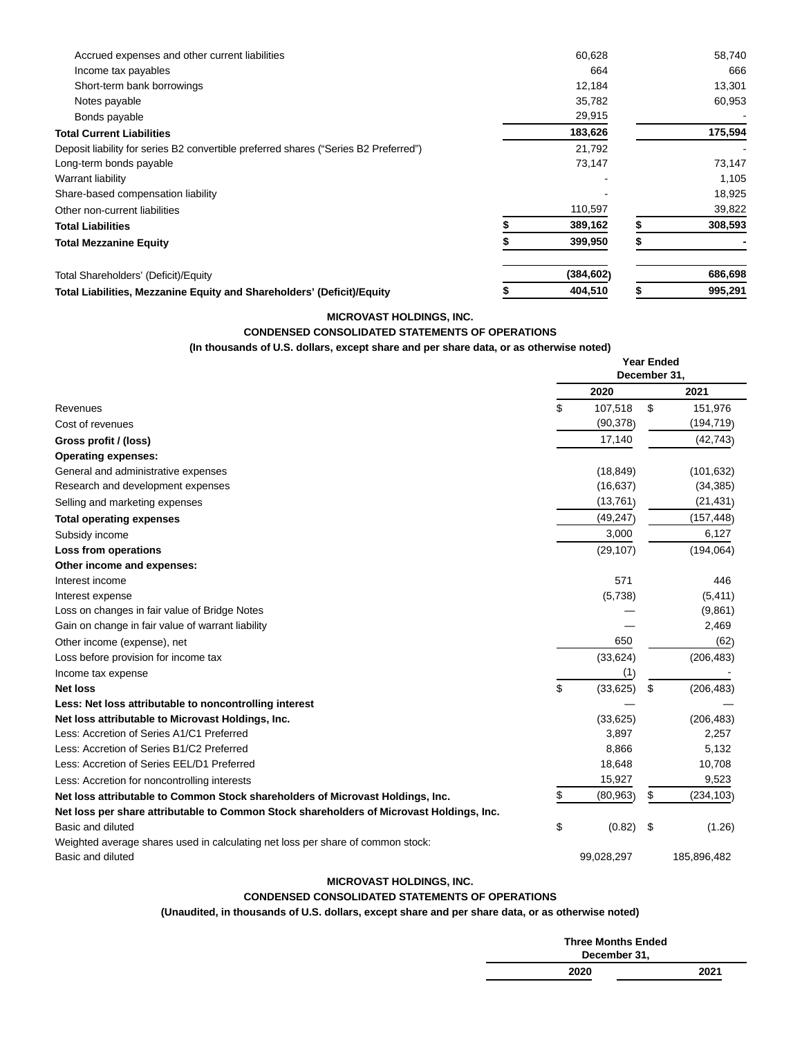| Accrued expenses and other current liabilities                                       | 60,628     | 58,740  |
|--------------------------------------------------------------------------------------|------------|---------|
| Income tax payables                                                                  | 664        | 666     |
| Short-term bank borrowings                                                           | 12,184     | 13,301  |
| Notes payable                                                                        | 35,782     | 60,953  |
| Bonds payable                                                                        | 29,915     |         |
| <b>Total Current Liabilities</b>                                                     | 183,626    | 175,594 |
| Deposit liability for series B2 convertible preferred shares ("Series B2 Preferred") | 21,792     |         |
| Long-term bonds payable                                                              | 73,147     | 73,147  |
| Warrant liability                                                                    |            | 1,105   |
| Share-based compensation liability                                                   |            | 18,925  |
| Other non-current liabilities                                                        | 110,597    | 39,822  |
| <b>Total Liabilities</b>                                                             | 389,162    | 308,593 |
| <b>Total Mezzanine Equity</b>                                                        | 399,950    |         |
| Total Shareholders' (Deficit)/Equity                                                 | (384, 602) | 686,698 |
| Total Liabilities, Mezzanine Equity and Shareholders' (Deficit)/Equity               | 404,510    | 995,291 |

## **MICROVAST HOLDINGS, INC.**

# **CONDENSED CONSOLIDATED STATEMENTS OF OPERATIONS**

**(In thousands of U.S. dollars, except share and per share data, or as otherwise noted)**

|                                                                                          | <b>Year Ended</b><br>December 31. |            |    |             |
|------------------------------------------------------------------------------------------|-----------------------------------|------------|----|-------------|
|                                                                                          |                                   | 2020       |    | 2021        |
| Revenues                                                                                 | \$.                               | 107,518    | \$ | 151,976     |
| Cost of revenues                                                                         |                                   | (90, 378)  |    | (194, 719)  |
| Gross profit / (loss)                                                                    |                                   | 17,140     |    | (42, 743)   |
| <b>Operating expenses:</b>                                                               |                                   |            |    |             |
| General and administrative expenses                                                      |                                   | (18, 849)  |    | (101, 632)  |
| Research and development expenses                                                        |                                   | (16, 637)  |    | (34, 385)   |
| Selling and marketing expenses                                                           |                                   | (13,761)   |    | (21, 431)   |
| <b>Total operating expenses</b>                                                          |                                   | (49, 247)  |    | (157, 448)  |
| Subsidy income                                                                           |                                   | 3,000      |    | 6,127       |
| Loss from operations                                                                     |                                   | (29, 107)  |    | (194, 064)  |
| Other income and expenses:                                                               |                                   |            |    |             |
| Interest income                                                                          |                                   | 571        |    | 446         |
| Interest expense                                                                         |                                   | (5,738)    |    | (5, 411)    |
| Loss on changes in fair value of Bridge Notes                                            |                                   |            |    | (9,861)     |
| Gain on change in fair value of warrant liability                                        |                                   |            |    | 2,469       |
| Other income (expense), net                                                              |                                   | 650        |    | (62)        |
| Loss before provision for income tax                                                     |                                   | (33, 624)  |    | (206, 483)  |
| Income tax expense                                                                       |                                   | (1)        |    |             |
| Net loss                                                                                 | \$                                | (33,625)   | \$ | (206, 483)  |
| Less: Net loss attributable to noncontrolling interest                                   |                                   |            |    |             |
| Net loss attributable to Microvast Holdings, Inc.                                        |                                   | (33, 625)  |    | (206, 483)  |
| Less: Accretion of Series A1/C1 Preferred                                                |                                   | 3,897      |    | 2,257       |
| Less: Accretion of Series B1/C2 Preferred                                                |                                   | 8,866      |    | 5,132       |
| Less: Accretion of Series EEL/D1 Preferred                                               |                                   | 18,648     |    | 10,708      |
| Less: Accretion for noncontrolling interests                                             |                                   | 15,927     |    | 9,523       |
| Net loss attributable to Common Stock shareholders of Microvast Holdings, Inc.           |                                   | (80, 963)  | \$ | (234, 103)  |
| Net loss per share attributable to Common Stock shareholders of Microvast Holdings, Inc. |                                   |            |    |             |
| Basic and diluted                                                                        | \$                                | (0.82)     | \$ | (1.26)      |
| Weighted average shares used in calculating net loss per share of common stock:          |                                   |            |    |             |
| Basic and diluted                                                                        |                                   | 99,028,297 |    | 185,896,482 |

## **MICROVAST HOLDINGS, INC.**

## **CONDENSED CONSOLIDATED STATEMENTS OF OPERATIONS**

**(Unaudited, in thousands of U.S. dollars, except share and per share data, or as otherwise noted)**

| <b>Three Months Ended</b><br>December 31, |      |
|-------------------------------------------|------|
| 2020                                      | 2021 |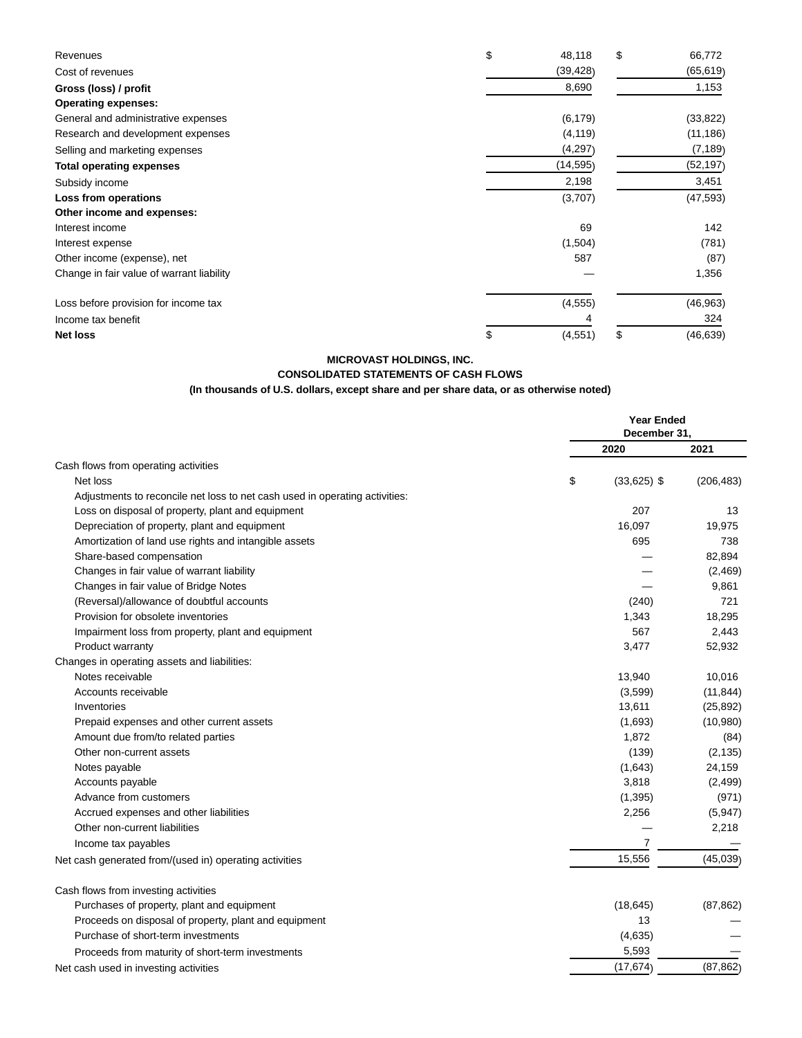| Revenues                                  | \$<br>48,118   | \$<br>66,772    |
|-------------------------------------------|----------------|-----------------|
| Cost of revenues                          | (39, 428)      | (65, 619)       |
| Gross (loss) / profit                     | 8,690          | 1,153           |
| <b>Operating expenses:</b>                |                |                 |
| General and administrative expenses       | (6, 179)       | (33, 822)       |
| Research and development expenses         | (4, 119)       | (11, 186)       |
| Selling and marketing expenses            | (4,297)        | (7, 189)        |
| <b>Total operating expenses</b>           | (14, 595)      | (52, 197)       |
| Subsidy income                            | 2,198          | 3,451           |
| Loss from operations                      | (3,707)        | (47, 593)       |
| Other income and expenses:                |                |                 |
| Interest income                           | 69             | 142             |
| Interest expense                          | (1,504)        | (781)           |
| Other income (expense), net               | 587            | (87)            |
| Change in fair value of warrant liability |                | 1,356           |
| Loss before provision for income tax      | (4, 555)       | (46, 963)       |
| Income tax benefit                        |                | 324             |
| <b>Net loss</b>                           | (4, 551)<br>\$ | \$<br>(46, 639) |

**MICROVAST HOLDINGS, INC.**

## **CONSOLIDATED STATEMENTS OF CASH FLOWS**

# **(In thousands of U.S. dollars, except share and per share data, or as otherwise noted)**

|                                                                             | <b>Year Ended</b><br>December 31. |               |            |
|-----------------------------------------------------------------------------|-----------------------------------|---------------|------------|
|                                                                             |                                   | 2020          | 2021       |
| Cash flows from operating activities                                        |                                   |               |            |
| Net loss                                                                    | \$                                | $(33,625)$ \$ | (206, 483) |
| Adjustments to reconcile net loss to net cash used in operating activities: |                                   |               |            |
| Loss on disposal of property, plant and equipment                           |                                   | 207           | 13         |
| Depreciation of property, plant and equipment                               |                                   | 16,097        | 19,975     |
| Amortization of land use rights and intangible assets                       |                                   | 695           | 738        |
| Share-based compensation                                                    |                                   |               | 82,894     |
| Changes in fair value of warrant liability                                  |                                   |               | (2,469)    |
| Changes in fair value of Bridge Notes                                       |                                   |               | 9,861      |
| (Reversal)/allowance of doubtful accounts                                   |                                   | (240)         | 721        |
| Provision for obsolete inventories                                          |                                   | 1,343         | 18,295     |
| Impairment loss from property, plant and equipment                          |                                   | 567           | 2,443      |
| Product warranty                                                            |                                   | 3,477         | 52,932     |
| Changes in operating assets and liabilities:                                |                                   |               |            |
| Notes receivable                                                            |                                   | 13,940        | 10,016     |
| Accounts receivable                                                         |                                   | (3,599)       | (11, 844)  |
| Inventories                                                                 |                                   | 13,611        | (25, 892)  |
| Prepaid expenses and other current assets                                   |                                   | (1,693)       | (10,980)   |
| Amount due from/to related parties                                          |                                   | 1,872         | (84)       |
| Other non-current assets                                                    |                                   | (139)         | (2, 135)   |
| Notes payable                                                               |                                   | (1,643)       | 24,159     |
| Accounts payable                                                            |                                   | 3,818         | (2, 499)   |
| Advance from customers                                                      |                                   | (1, 395)      | (971)      |
| Accrued expenses and other liabilities                                      |                                   | 2,256         | (5,947)    |
| Other non-current liabilities                                               |                                   |               | 2,218      |
| Income tax payables                                                         |                                   | 7             |            |
| Net cash generated from/(used in) operating activities                      |                                   | 15,556        | (45,039)   |
| Cash flows from investing activities                                        |                                   |               |            |
| Purchases of property, plant and equipment                                  |                                   | (18, 645)     | (87, 862)  |
| Proceeds on disposal of property, plant and equipment                       |                                   | 13            |            |
| Purchase of short-term investments                                          |                                   | (4,635)       |            |
| Proceeds from maturity of short-term investments                            |                                   | 5,593         |            |
| Net cash used in investing activities                                       |                                   | (17, 674)     | (87, 862)  |